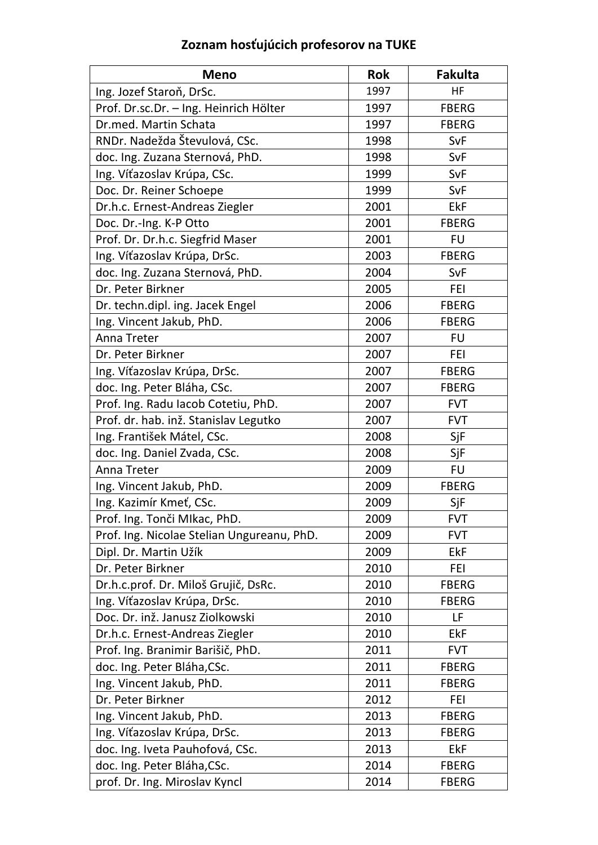| <b>Meno</b>                                | <b>Rok</b> | <b>Fakulta</b> |
|--------------------------------------------|------------|----------------|
| Ing. Jozef Staroň, DrSc.                   | 1997       | HF             |
| Prof. Dr.sc.Dr. - Ing. Heinrich Hölter     | 1997       | <b>FBERG</b>   |
| Dr.med. Martin Schata                      | 1997       | <b>FBERG</b>   |
| RNDr. Nadežda Števulová, CSc.              | 1998       | SvF            |
| doc. Ing. Zuzana Sternová, PhD.            | 1998       | SvF            |
| Ing. Víťazoslav Krúpa, CSc.                | 1999       | SvF            |
| Doc. Dr. Reiner Schoepe                    | 1999       | SvF            |
| Dr.h.c. Ernest-Andreas Ziegler             | 2001       | <b>EkF</b>     |
| Doc. Dr.-Ing. K-P Otto                     | 2001       | <b>FBERG</b>   |
| Prof. Dr. Dr.h.c. Siegfrid Maser           | 2001       | <b>FU</b>      |
| Ing. Víťazoslav Krúpa, DrSc.               | 2003       | <b>FBERG</b>   |
| doc. Ing. Zuzana Sternová, PhD.            | 2004       | SvF            |
| Dr. Peter Birkner                          | 2005       | FEI            |
| Dr. techn.dipl. ing. Jacek Engel           | 2006       | <b>FBERG</b>   |
| Ing. Vincent Jakub, PhD.                   | 2006       | <b>FBERG</b>   |
| Anna Treter                                | 2007       | <b>FU</b>      |
| Dr. Peter Birkner                          | 2007       | FEI            |
| Ing. Víťazoslav Krúpa, DrSc.               | 2007       | <b>FBERG</b>   |
| doc. Ing. Peter Bláha, CSc.                | 2007       | <b>FBERG</b>   |
| Prof. Ing. Radu Iacob Cotetiu, PhD.        | 2007       | <b>FVT</b>     |
| Prof. dr. hab. inž. Stanislav Legutko      | 2007       | <b>FVT</b>     |
| Ing. František Mátel, CSc.                 | 2008       | SjF            |
| doc. Ing. Daniel Zvada, CSc.               | 2008       | SjF            |
| <b>Anna Treter</b>                         | 2009       | <b>FU</b>      |
| Ing. Vincent Jakub, PhD.                   | 2009       | <b>FBERG</b>   |
| Ing. Kazimír Kmeť, CSc.                    | 2009       | SjF            |
| Prof. Ing. Tonči Mlkac, PhD.               | 2009       | FVT            |
| Prof. Ing. Nicolae Stelian Ungureanu, PhD. | 2009       | <b>FVT</b>     |
| Dipl. Dr. Martin Užík                      | 2009       | <b>EkF</b>     |
| Dr. Peter Birkner                          | 2010       | FEI            |
| Dr.h.c.prof. Dr. Miloš Grujič, DsRc.       | 2010       | <b>FBERG</b>   |
| Ing. Víťazoslav Krúpa, DrSc.               | 2010       | <b>FBERG</b>   |
| Doc. Dr. inž. Janusz Ziolkowski            | 2010       | LF             |
| Dr.h.c. Ernest-Andreas Ziegler             | 2010       | EkF            |
| Prof. Ing. Branimir Barišič, PhD.          | 2011       | <b>FVT</b>     |
| doc. Ing. Peter Bláha, CSc.                | 2011       | <b>FBERG</b>   |
| Ing. Vincent Jakub, PhD.                   | 2011       | <b>FBERG</b>   |
| Dr. Peter Birkner                          | 2012       | FEI            |
| Ing. Vincent Jakub, PhD.                   | 2013       | <b>FBERG</b>   |
| Ing. Víťazoslav Krúpa, DrSc.               | 2013       | <b>FBERG</b>   |
| doc. Ing. Iveta Pauhofová, CSc.            | 2013       | EkF            |
| doc. Ing. Peter Bláha, CSc.                | 2014       | <b>FBERG</b>   |
| prof. Dr. Ing. Miroslav Kyncl              | 2014       | <b>FBERG</b>   |

## **Zoznam hosťujúcich profesorov na TUKE**